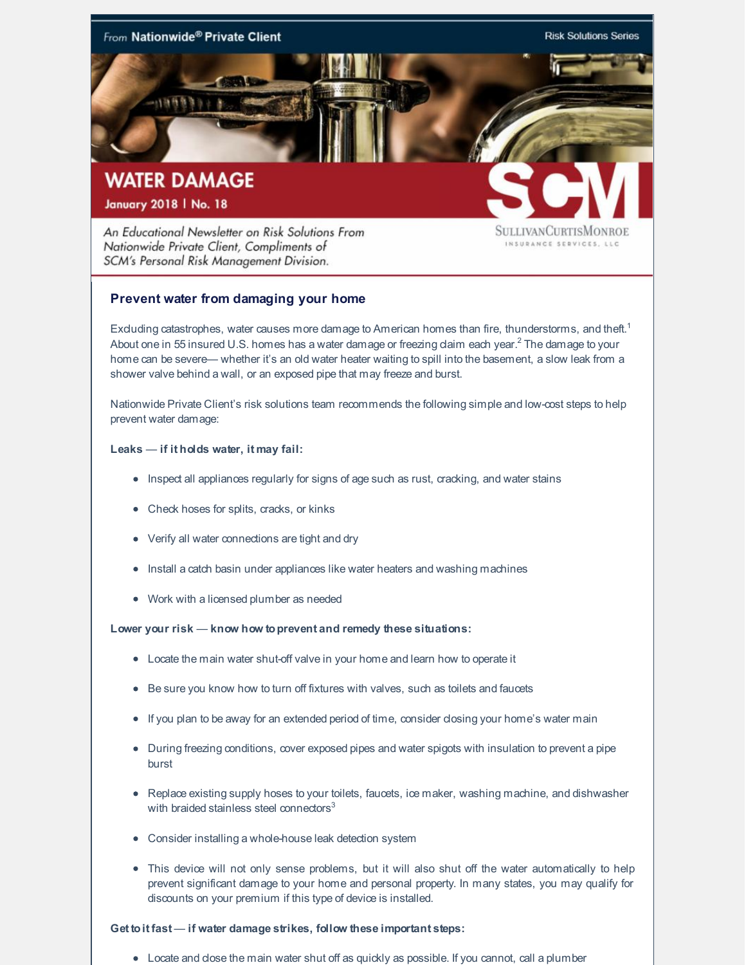

An Educational Newsletter on Risk Solutions From Nationwide Private Client, Compliments of SCM's Personal Risk Management Division.

SULLIVANCURTISMONROE INSURANCE SERVICES, LLC

# **Prevent water from damaging your home**

Exduding catastrophes, water causes more damage to American homes than fire, thunderstorms, and theft.<sup>1</sup> About one in 55 insured U.S. homes has a water damage or freezing daim each year. $^2$  The damage to your home can be severe— whether it's an old water heater waiting to spill into the basement, a slow leak from a shower valve behind a wall, or an exposed pipe that may freeze and burst.

Nationwide Private Client's risk solutions team recommends the following simple and low-cost steps to help prevent water damage:

### **Leaks** — **if it holds water, it may fail:**

- Inspect all appliances regularly for signs of age such as rust, cracking, and water stains
- Check hoses for splits, cracks, or kinks
- Verify all water connections are tight and dry
- Install a catch basin under appliances like water heaters and washing machines
- Work with a licensed plumber as needed

#### **Lower your risk** — **know how toprevent and remedy these situations:**

- Locate the main water shut-off valve in your home and learn how to operate it
- Be sure you know how to turn off fixtures with valves, such as toilets and faucets
- If you plan to be away for an extended period of time, consider dosing your home's water main
- During freezing conditions, cover exposed pipes and water spigots with insulation to prevent a pipe burst
- Replace existing supply hoses to your toilets, faucets, ice maker, washing machine, and dishwasher with braided stainless steel connectors $3$
- Consider installing a whole-house leak detection system
- This device will not only sense problems, but it will also shut off the water automatically to help prevent significant damage to your home and personal property. In many states, you may qualify for discounts on your premium if this type of device is installed.

#### **Get toit fast** — **if water damage strikes, follow these important steps:**

Locate and close the main water shut off as quickly as possible. If you cannot, call a plumber